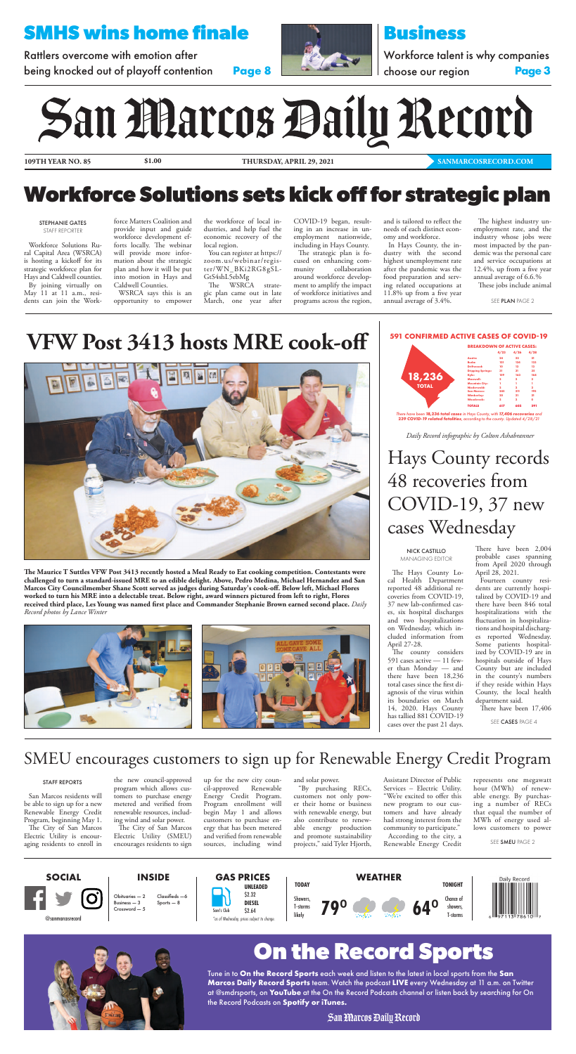**109TH YEAR NO. 85 \$1.00 THURSDAY, APRIL 29, 2021**





# **SMHS wins home finale**

Rattlers overcome with emotion after being knocked out of playoff contention **Page 8**



**[SANMARCOSRECORD.COM](https://www.sanmarcosrecord.com/)**

# **Business**

Workforce talent is why companies

choose our region **Page 3**

# San Marcos Daily Record

*Daily Record infographic by Colton Ashabranner*

The Hays County Local Health Department reported 48 additional recoveries from COVID-19, 37 new lab-confirmed cases, six hospital discharges and two hospitalizations on Wednesday, which included information from April 27-28. The county considers 591 cases active — 11 fewer than Monday — and there have been 18,236 total cases since the first diagnosis of the virus within its boundaries on March 14, 2020. Hays County has tallied 881 COVID-19 cases over the past 21 days.

There have been 2,004 probable cases spanning from April 2020 through April 28, 2021.

Fourteen county residents are currently hospitalized by COVID-19 and

there have been 846 total hospitalizations with the fluctuation in hospitalizations and hospital discharges reported Wednesday. Some patients hospitalized by COVID-19 are in hospitals outside of Hays County but are included in the county's numbers if they reside within Hays County, the local health department said.

There have been 17,406

# SMEU encourages customers to sign up for Renewable Energy Credit Program

# **Workforce Solutions sets kick off for strategic plan**

# **VFW Post 3413 hosts MRE cook-off**



**The Maurice T Suttles VFW Post 3413 recently hosted a Meal Ready to Eat cooking competition. Contestants were challenged to turn a standard-issued MRE to an edible delight. Above, Pedro Medina, Michael Hernandez and San Marcos City Councilmember Shane Scott served as judges during Saturday's cook-off. Below left, Michael Flores worked to turn his MRE into a delectable treat. Below right, award winners pictured from left to right, Flores** 

**received third place, Les Young was named first place and Commander Stephanie Brown earned second place.** *Daily Record photos by Lance Winter*



NICK CASTILLO MANAGING EDITOR

There have been **18,236 total cases** in Hays County, with **17,406 recoveries** and **239 COVID-19 related fatalities**, according to the county. Updated 4/28/21

|              |                          | <b>BREAKDOWN OF ACTIVE CASES:</b> |                |                         |
|--------------|--------------------------|-----------------------------------|----------------|-------------------------|
|              |                          | 4/23                              | 4/26           | 4/28                    |
|              | <b>Austin:</b>           | 24                                | 22             | 21                      |
|              | Buda:                    | 121                               | 134            | 133                     |
|              | Driftwood:               | 10                                | 13             | 13                      |
|              | <b>Dripping Springs:</b> | 31                                | 31             | 35                      |
|              | Kyle:                    | 159                               | 163            | 168                     |
| 18,236       | Maxwell:                 | $\overline{2}$                    | $\overline{2}$ | $\overline{\mathbf{2}}$ |
|              | <b>Mountain City:</b>    | ٦                                 |                |                         |
| <b>TOTAL</b> | Niederwald:              | $\overline{2}$                    | $\overline{2}$ | $\overline{2}$          |
|              | <b>San Marcos:</b>       | 245                               | 211            | 195                     |
|              | Wimberley:               | 20                                | 21             | 21                      |
|              | <b>Woodcreek:</b>        | $\overline{2}$                    | $\overline{2}$ | ۰                       |
|              | <b>TOTALS</b>            | 617                               | 602            | 591                     |

SEE CASES PAGE 4

Hays County records 48 recoveries from COVID-19, 37 new cases Wednesday

Workforce Solutions Rural Capital Area (WSRCA) is hosting a kickoff for its strategic workforce plan for Hays and Caldwell counties. By joining virtually on May 11 at 11 a.m., residents can join the Workforce Matters Coalition and provide input and guide workforce development efforts locally. The webinar will provide more information about the strategic plan and how it will be put into motion in Hays and Caldwell Counties.

WSRCA says this is an opportunity to empower

the workforce of local industries, and help fuel the economic recovery of the local region.

You can register at https:// [zoom.us/webinar/regis](https://zoom.us/webinar/regis-)ter/WN\_BKi2RG8gSL-GtS4shL5ebMg

The WSRCA strategic plan came out in late March, one year after

COVID-19 began, resulting in an increase in unemployment nationwide, including in Hays County.

The strategic plan is focused on enhancing community collaboration around workforce development to amplify the impact of workforce initiatives and programs across the region,

and is tailored to reflect the needs of each distinct economy and workforce.

In Hays County, the industry with the second highest unemployment rate after the pandemic was the food preparation and serving related occupations at 11.8% up from a five year annual average of 3.4%.

The highest industry unemployment rate, and the industry whose jobs were most impacted by the pandemic was the personal care and service occupations at 12.4%, up from a five year annual average of 6.6.% These jobs include animal

### STEPHANIE GATES STAFF REPORTER

SEE PLAN [PAGE 2](#page-1-0)

# **On the Record Sports**

Tune in to **On the Record Sports** each week and listen to the latest in local sports from the **San Marcos Daily Record Sports** team. Watch the podcast **LIVE** every Wednesday at 11 a.m. on Twitter at @smdrsports, on **YouTube** at the On the Record Podcasts channel or listen back by searching for On the Record Podcasts on **Spotify or iTunes.**

San Marcos Daily Record

San Marcos residents will be able to sign up for a new Renewable Energy Credit Program, beginning May 1. The City of San Marcos Electric Utility is encouraging residents to enroll in the new council-approved program which allows customers to purchase energy metered and verified from renewable resources, including wind and solar power.

The City of San Marcos Electric Utility (SMEU) encourages residents to sign up for the new city council-approved Renewable Energy Credit Program. Program enrollment will begin May 1 and allows customers to purchase energy that has been metered and verified from renewable sources, including wind and solar power.

"By purchasing RECs, customers not only power their home or business with renewable energy, but also contribute to renewable energy production and promote sustainability projects," said Tyler Hjorth,

Assistant Director of Public Services – Electric Utility. "We're excited to offer this new program to our customers and have already had strong interest from the community to participate." According to the city, a Renewable Energy Credit

represents one megawatt hour (MWh) of renewable energy. By purchasing a number of RECs that equal the number of MWh of energy used allows customers to power

SEE SMEU [PAGE 2](#page-1-0)

#### STAFF REPORTS